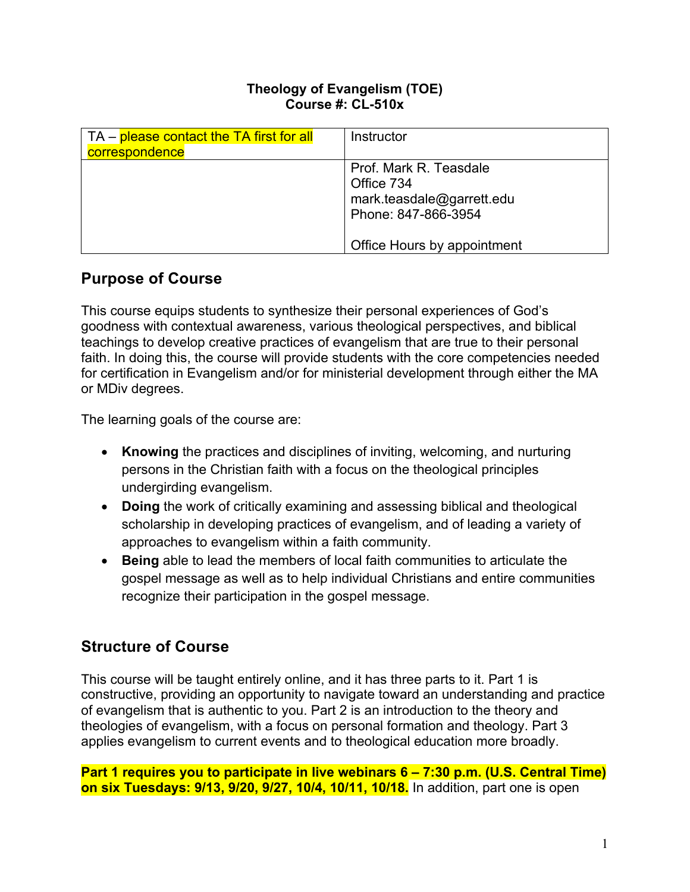#### **Theology of Evangelism (TOE) Course #: CL-510x**

| TA – please contact the TA first for all | Instructor                  |
|------------------------------------------|-----------------------------|
| correspondence                           |                             |
|                                          | Prof. Mark R. Teasdale      |
|                                          | Office 734                  |
|                                          | mark.teasdale@garrett.edu   |
|                                          | Phone: 847-866-3954         |
|                                          |                             |
|                                          | Office Hours by appointment |

## **Purpose of Course**

This course equips students to synthesize their personal experiences of God's goodness with contextual awareness, various theological perspectives, and biblical teachings to develop creative practices of evangelism that are true to their personal faith. In doing this, the course will provide students with the core competencies needed for certification in Evangelism and/or for ministerial development through either the MA or MDiv degrees.

The learning goals of the course are:

- **Knowing** the practices and disciplines of inviting, welcoming, and nurturing persons in the Christian faith with a focus on the theological principles undergirding evangelism.
- **Doing** the work of critically examining and assessing biblical and theological scholarship in developing practices of evangelism, and of leading a variety of approaches to evangelism within a faith community.
- **Being** able to lead the members of local faith communities to articulate the gospel message as well as to help individual Christians and entire communities recognize their participation in the gospel message.

## **Structure of Course**

This course will be taught entirely online, and it has three parts to it. Part 1 is constructive, providing an opportunity to navigate toward an understanding and practice of evangelism that is authentic to you. Part 2 is an introduction to the theory and theologies of evangelism, with a focus on personal formation and theology. Part 3 applies evangelism to current events and to theological education more broadly.

**Part 1 requires you to participate in live webinars 6 – 7:30 p.m. (U.S. Central Time) on six Tuesdays: 9/13, 9/20, 9/27, 10/4, 10/11, 10/18.** In addition, part one is open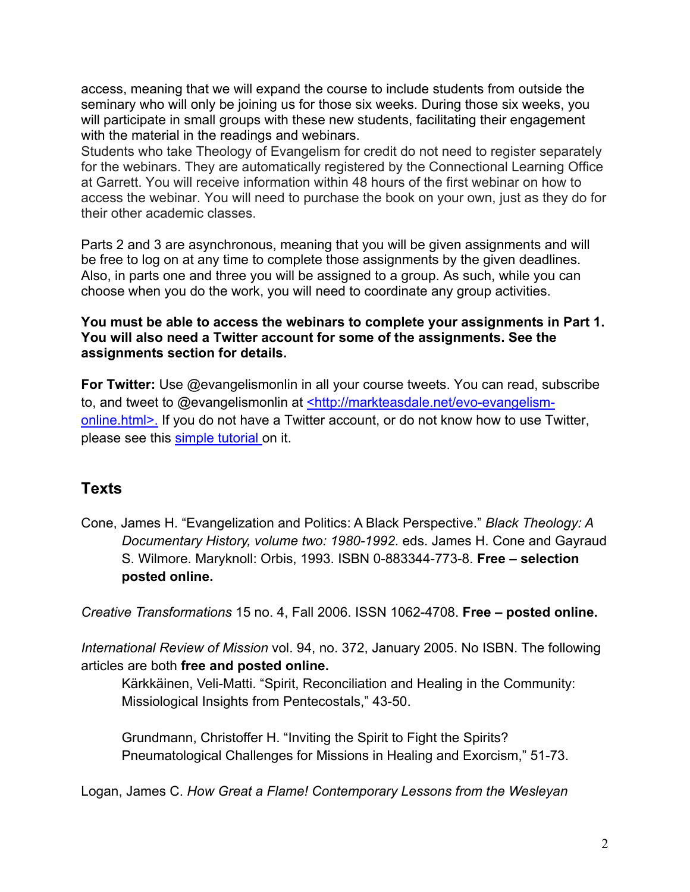access, meaning that we will expand the course to include students from outside the seminary who will only be joining us for those six weeks. During those six weeks, you will participate in small groups with these new students, facilitating their engagement with the material in the readings and webinars.

Students who take Theology of Evangelism for credit do not need to register separately for the webinars. They are automatically registered by the Connectional Learning Office at Garrett. You will receive information within 48 hours of the first webinar on how to access the webinar. You will need to purchase the book on your own, just as they do for their other academic classes.

Parts 2 and 3 are asynchronous, meaning that you will be given assignments and will be free to log on at any time to complete those assignments by the given deadlines. Also, in parts one and three you will be assigned to a group. As such, while you can choose when you do the work, you will need to coordinate any group activities.

#### **You must be able to access the webinars to complete your assignments in Part 1. You will also need a Twitter account for some of the assignments. See the assignments section for details.**

**For Twitter:** Use @evangelismonlin in all your course tweets. You can read, subscribe to, and tweet to @evangelismonlin at <http://markteasdale.net/evo-evangelismonline.html>. If you do not have a Twitter account, or do not know how to use Twitter, please see this simple tutorial on it.

## **Texts**

Cone, James H. "Evangelization and Politics: A Black Perspective." *Black Theology: A Documentary History, volume two: 1980-1992*. eds. James H. Cone and Gayraud S. Wilmore. Maryknoll: Orbis, 1993. ISBN 0-883344-773-8. **Free – selection posted online.**

*Creative Transformations* 15 no. 4, Fall 2006. ISSN 1062-4708. **Free – posted online.**

*International Review of Mission* vol. 94, no. 372, January 2005. No ISBN. The following articles are both **free and posted online.**

Kärkkäinen, Veli-Matti. "Spirit, Reconciliation and Healing in the Community: Missiological Insights from Pentecostals," 43-50.

Grundmann, Christoffer H. "Inviting the Spirit to Fight the Spirits? Pneumatological Challenges for Missions in Healing and Exorcism," 51-73.

Logan, James C. *How Great a Flame! Contemporary Lessons from the Wesleyan*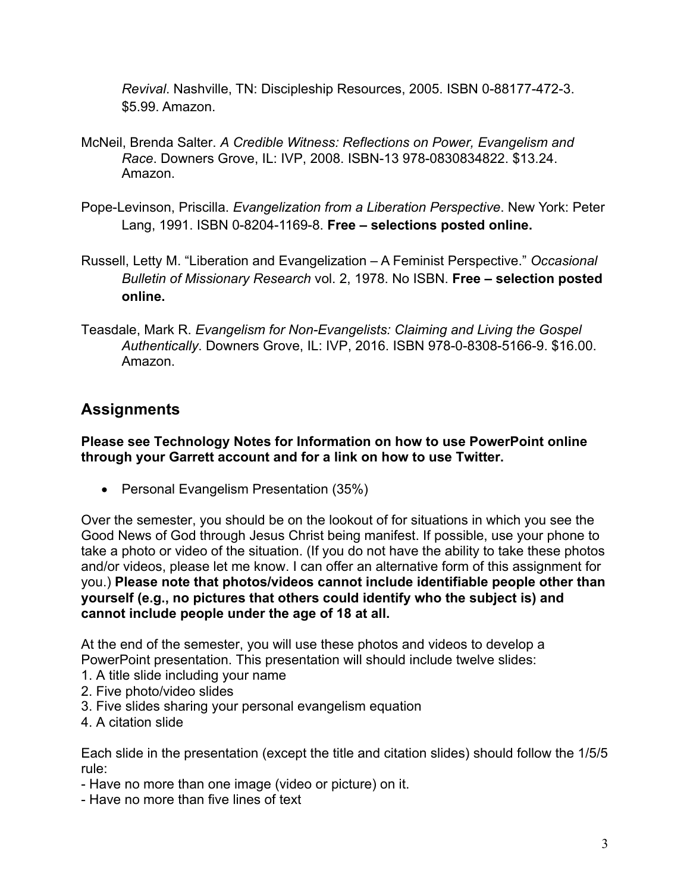*Revival*. Nashville, TN: Discipleship Resources, 2005. ISBN 0-88177-472-3. \$5.99. Amazon.

- McNeil, Brenda Salter. *A Credible Witness: Reflections on Power, Evangelism and Race*. Downers Grove, IL: IVP, 2008. ISBN-13 978-0830834822. \$13.24. Amazon.
- Pope-Levinson, Priscilla. *Evangelization from a Liberation Perspective*. New York: Peter Lang, 1991. ISBN 0-8204-1169-8. **Free – selections posted online.**
- Russell, Letty M. "Liberation and Evangelization A Feminist Perspective." *Occasional Bulletin of Missionary Research* vol. 2, 1978. No ISBN. **Free – selection posted online.**
- Teasdale, Mark R. *Evangelism for Non-Evangelists: Claiming and Living the Gospel Authentically*. Downers Grove, IL: IVP, 2016. ISBN 978-0-8308-5166-9. \$16.00. Amazon.

## **Assignments**

### **Please see Technology Notes for Information on how to use PowerPoint online through your Garrett account and for a link on how to use Twitter.**

• Personal Evangelism Presentation (35%)

Over the semester, you should be on the lookout of for situations in which you see the Good News of God through Jesus Christ being manifest. If possible, use your phone to take a photo or video of the situation. (If you do not have the ability to take these photos and/or videos, please let me know. I can offer an alternative form of this assignment for you.) **Please note that photos/videos cannot include identifiable people other than yourself (e.g., no pictures that others could identify who the subject is) and cannot include people under the age of 18 at all.** 

At the end of the semester, you will use these photos and videos to develop a PowerPoint presentation. This presentation will should include twelve slides:

- 1. A title slide including your name
- 2. Five photo/video slides
- 3. Five slides sharing your personal evangelism equation
- 4. A citation slide

Each slide in the presentation (except the title and citation slides) should follow the 1/5/5 rule:

- Have no more than one image (video or picture) on it.
- Have no more than five lines of text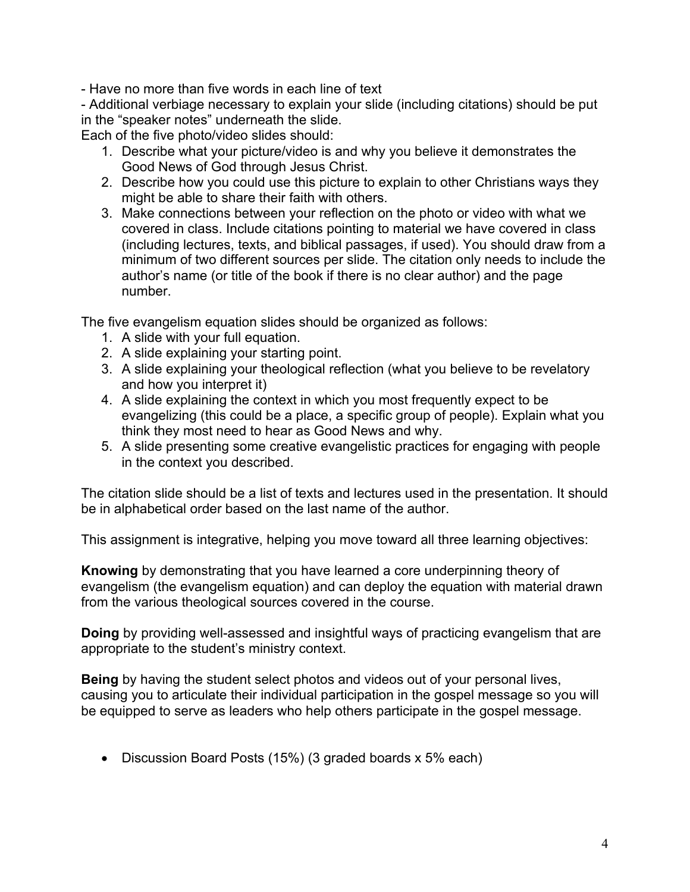- Have no more than five words in each line of text

- Additional verbiage necessary to explain your slide (including citations) should be put in the "speaker notes" underneath the slide.

Each of the five photo/video slides should:

- 1. Describe what your picture/video is and why you believe it demonstrates the Good News of God through Jesus Christ.
- 2. Describe how you could use this picture to explain to other Christians ways they might be able to share their faith with others.
- 3. Make connections between your reflection on the photo or video with what we covered in class. Include citations pointing to material we have covered in class (including lectures, texts, and biblical passages, if used). You should draw from a minimum of two different sources per slide. The citation only needs to include the author's name (or title of the book if there is no clear author) and the page number.

The five evangelism equation slides should be organized as follows:

- 1. A slide with your full equation.
- 2. A slide explaining your starting point.
- 3. A slide explaining your theological reflection (what you believe to be revelatory and how you interpret it)
- 4. A slide explaining the context in which you most frequently expect to be evangelizing (this could be a place, a specific group of people). Explain what you think they most need to hear as Good News and why.
- 5. A slide presenting some creative evangelistic practices for engaging with people in the context you described.

The citation slide should be a list of texts and lectures used in the presentation. It should be in alphabetical order based on the last name of the author.

This assignment is integrative, helping you move toward all three learning objectives:

**Knowing** by demonstrating that you have learned a core underpinning theory of evangelism (the evangelism equation) and can deploy the equation with material drawn from the various theological sources covered in the course.

**Doing** by providing well-assessed and insightful ways of practicing evangelism that are appropriate to the student's ministry context.

**Being** by having the student select photos and videos out of your personal lives, causing you to articulate their individual participation in the gospel message so you will be equipped to serve as leaders who help others participate in the gospel message.

• Discussion Board Posts (15%) (3 graded boards x 5% each)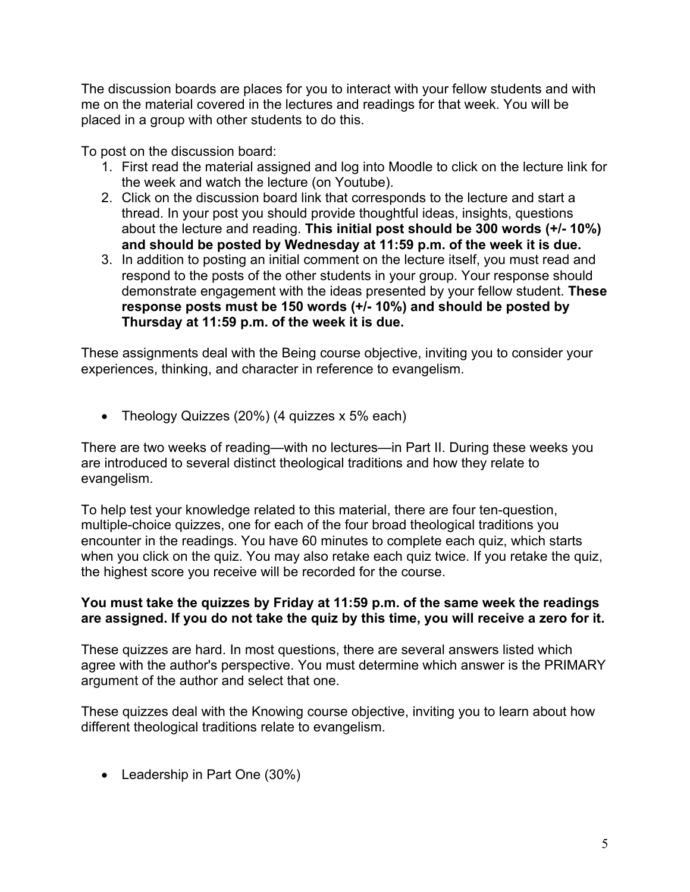The discussion boards are places for you to interact with your fellow students and with me on the material covered in the lectures and readings for that week. You will be placed in a group with other students to do this.

To post on the discussion board:

- 1. First read the material assigned and log into Moodle to click on the lecture link for the week and watch the lecture (on Youtube).
- 2. Click on the discussion board link that corresponds to the lecture and start a thread. In your post you should provide thoughtful ideas, insights, questions about the lecture and reading. **This initial post should be 300 words (+/- 10%) and should be posted by Wednesday at 11:59 p.m. of the week it is due.**
- 3. In addition to posting an initial comment on the lecture itself, you must read and respond to the posts of the other students in your group. Your response should demonstrate engagement with the ideas presented by your fellow student. **These response posts must be 150 words (+/- 10%) and should be posted by Thursday at 11:59 p.m. of the week it is due.**

These assignments deal with the Being course objective, inviting you to consider your experiences, thinking, and character in reference to evangelism.

• Theology Quizzes (20%) (4 quizzes x 5% each)

There are two weeks of reading—with no lectures—in Part II. During these weeks you are introduced to several distinct theological traditions and how they relate to evangelism.

To help test your knowledge related to this material, there are four ten-question, multiple-choice quizzes, one for each of the four broad theological traditions you encounter in the readings. You have 60 minutes to complete each quiz, which starts when you click on the quiz. You may also retake each quiz twice. If you retake the quiz, the highest score you receive will be recorded for the course.

#### **You must take the quizzes by Friday at 11:59 p.m. of the same week the readings are assigned. If you do not take the quiz by this time, you will receive a zero for it.**

These quizzes are hard. In most questions, there are several answers listed which agree with the author's perspective. You must determine which answer is the PRIMARY argument of the author and select that one.

These quizzes deal with the Knowing course objective, inviting you to learn about how different theological traditions relate to evangelism.

• Leadership in Part One (30%)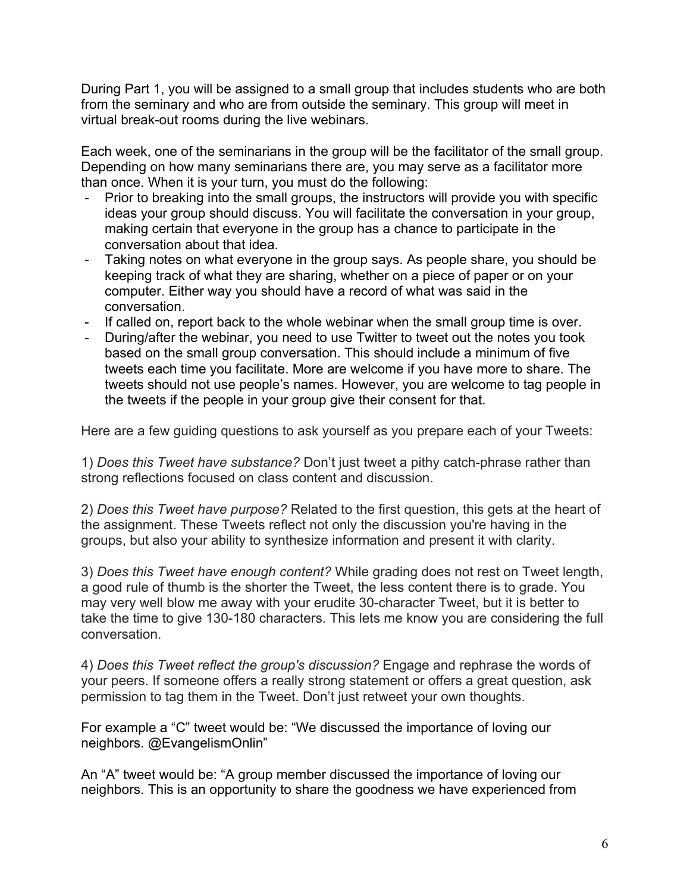During Part 1, you will be assigned to a small group that includes students who are both from the seminary and who are from outside the seminary. This group will meet in virtual break-out rooms during the live webinars.

Each week, one of the seminarians in the group will be the facilitator of the small group. Depending on how many seminarians there are, you may serve as a facilitator more than once. When it is your turn, you must do the following:

- Prior to breaking into the small groups, the instructors will provide you with specific ideas your group should discuss. You will facilitate the conversation in your group, making certain that everyone in the group has a chance to participate in the conversation about that idea.
- Taking notes on what everyone in the group says. As people share, you should be keeping track of what they are sharing, whether on a piece of paper or on your computer. Either way you should have a record of what was said in the conversation.
- If called on, report back to the whole webinar when the small group time is over.
- During/after the webinar, you need to use Twitter to tweet out the notes you took based on the small group conversation. This should include a minimum of five tweets each time you facilitate. More are welcome if you have more to share. The tweets should not use people's names. However, you are welcome to tag people in the tweets if the people in your group give their consent for that.

Here are a few guiding questions to ask yourself as you prepare each of your Tweets:

1) *Does this Tweet have substance?* Don't just tweet a pithy catch-phrase rather than strong reflections focused on class content and discussion.

2) *Does this Tweet have purpose?* Related to the first question, this gets at the heart of the assignment. These Tweets reflect not only the discussion you're having in the groups, but also your ability to synthesize information and present it with clarity.

3) *Does this Tweet have enough content?* While grading does not rest on Tweet length, a good rule of thumb is the shorter the Tweet, the less content there is to grade. You may very well blow me away with your erudite 30-character Tweet, but it is better to take the time to give 130-180 characters. This lets me know you are considering the full conversation.

4) *Does this Tweet reflect the group's discussion?* Engage and rephrase the words of your peers. If someone offers a really strong statement or offers a great question, ask permission to tag them in the Tweet. Don't just retweet your own thoughts.

For example a "C" tweet would be: "We discussed the importance of loving our neighbors. @EvangelismOnlin"

An "A" tweet would be: "A group member discussed the importance of loving our neighbors. This is an opportunity to share the goodness we have experienced from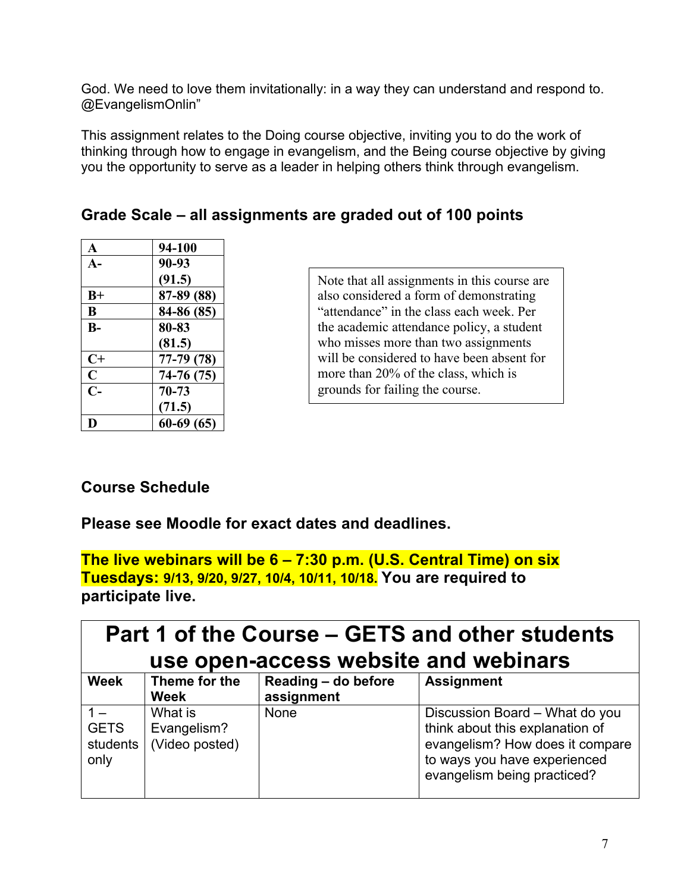God. We need to love them invitationally: in a way they can understand and respond to. @EvangelismOnlin"

This assignment relates to the Doing course objective, inviting you to do the work of thinking through how to engage in evangelism, and the Being course objective by giving you the opportunity to serve as a leader in helping others think through evangelism.

# **Grade Scale – all assignments are graded out of 100 points**

| $\mathbf A$          | 94-100     |
|----------------------|------------|
| $A-$                 | 90-93      |
|                      | (91.5)     |
| $B+$                 | 87-89 (88) |
| B                    | 84-86 (85) |
| $\mathbf{R}_{-}$     | 80-83      |
|                      | (81.5)     |
| $C+$                 | 77-79 (78) |
| $\mathbf C$          | 74-76 (75) |
| $\mathsf{C}\text{-}$ | $70 - 73$  |
|                      | (71.5)     |
|                      |            |

Note that all assignments in this course are also considered a form of demonstrating "attendance" in the class each week. Per the academic attendance policy, a student who misses more than two assignments will be considered to have been absent for more than 20% of the class, which is grounds for failing the course.

# **Course Schedule**

**Please see Moodle for exact dates and deadlines.**

**The live webinars will be 6 – 7:30 p.m. (U.S. Central Time) on six Tuesdays: 9/13, 9/20, 9/27, 10/4, 10/11, 10/18. You are required to participate live.**

| Part 1 of the Course – GETS and other students |                                          |                                   |                                                                                                                                                                     |  |
|------------------------------------------------|------------------------------------------|-----------------------------------|---------------------------------------------------------------------------------------------------------------------------------------------------------------------|--|
|                                                | use open-access website and webinars     |                                   |                                                                                                                                                                     |  |
| <b>Week</b>                                    | Theme for the<br><b>Week</b>             | Reading - do before<br>assignment | <b>Assignment</b>                                                                                                                                                   |  |
| <b>GETS</b><br>students<br>only                | What is<br>Evangelism?<br>(Video posted) | <b>None</b>                       | Discussion Board - What do you<br>think about this explanation of<br>evangelism? How does it compare<br>to ways you have experienced<br>evangelism being practiced? |  |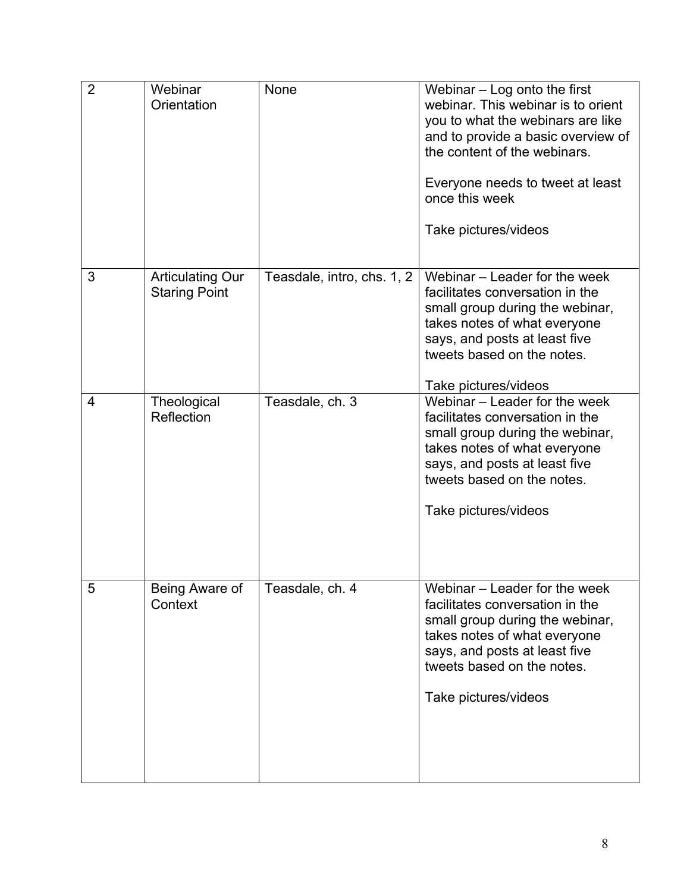| $\overline{2}$ | Webinar<br>Orientation                          | None                       | Webinar $-$ Log onto the first<br>webinar. This webinar is to orient<br>you to what the webinars are like<br>and to provide a basic overview of<br>the content of the webinars.<br>Everyone needs to tweet at least<br>once this week<br>Take pictures/videos |
|----------------|-------------------------------------------------|----------------------------|---------------------------------------------------------------------------------------------------------------------------------------------------------------------------------------------------------------------------------------------------------------|
| 3              | <b>Articulating Our</b><br><b>Staring Point</b> | Teasdale, intro, chs. 1, 2 | Webinar – Leader for the week<br>facilitates conversation in the<br>small group during the webinar,<br>takes notes of what everyone<br>says, and posts at least five<br>tweets based on the notes.<br>Take pictures/videos                                    |
| 4              | Theological<br>Reflection                       | Teasdale, ch. 3            | Webinar - Leader for the week<br>facilitates conversation in the<br>small group during the webinar,<br>takes notes of what everyone<br>says, and posts at least five<br>tweets based on the notes.<br>Take pictures/videos                                    |
| 5              | Being Aware of<br>Context                       | Teasdale, ch. 4            | Webinar - Leader for the week<br>facilitates conversation in the<br>small group during the webinar,<br>takes notes of what everyone<br>says, and posts at least five<br>tweets based on the notes.<br>Take pictures/videos                                    |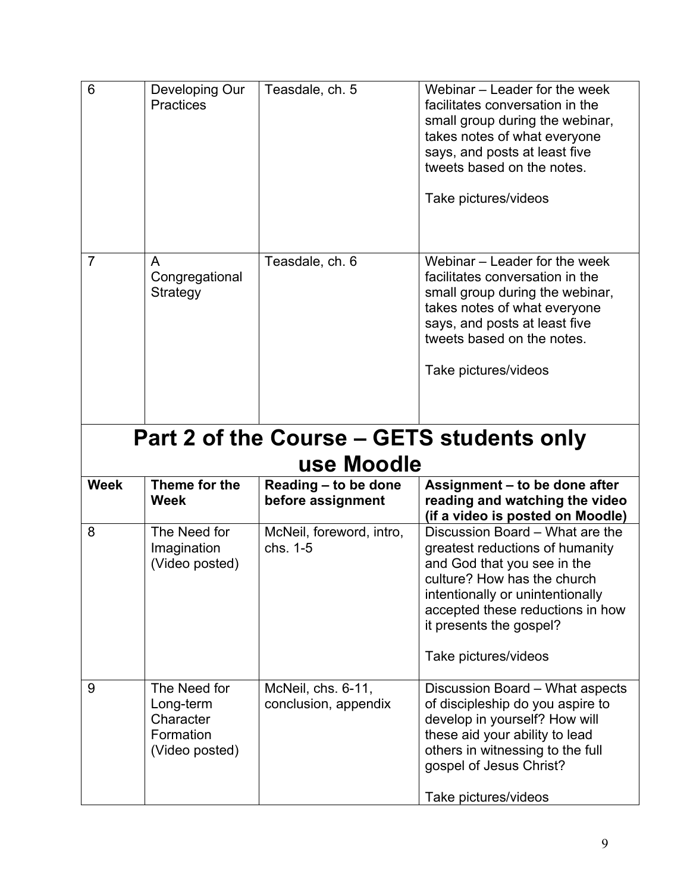| $6\phantom{1}6$ | Developing Our<br><b>Practices</b>            | Teasdale, ch. 5                           | Webinar - Leader for the week<br>facilitates conversation in the<br>small group during the webinar,<br>takes notes of what everyone<br>says, and posts at least five<br>tweets based on the notes.<br>Take pictures/videos                                  |
|-----------------|-----------------------------------------------|-------------------------------------------|-------------------------------------------------------------------------------------------------------------------------------------------------------------------------------------------------------------------------------------------------------------|
| $\overline{7}$  | A<br>Congregational<br>Strategy               | Teasdale, ch. 6                           | Webinar – Leader for the week<br>facilitates conversation in the<br>small group during the webinar,<br>takes notes of what everyone<br>says, and posts at least five<br>tweets based on the notes.<br>Take pictures/videos                                  |
|                 |                                               | use Moodle                                | <b>Part 2 of the Course – GETS students only</b>                                                                                                                                                                                                            |
| <b>Week</b>     | Theme for the<br><b>Week</b>                  | Reading - to be done<br>before assignment | Assignment - to be done after<br>reading and watching the video                                                                                                                                                                                             |
|                 |                                               |                                           | (if a video is posted on Moodle)                                                                                                                                                                                                                            |
| 8               | The Need for<br>Imagination<br>(Video posted) | McNeil, foreword, intro,<br>chs. 1-5      | Discussion Board - What are the<br>greatest reductions of humanity<br>and God that you see in the<br>culture? How has the church<br>intentionally or unintentionally<br>accepted these reductions in how<br>it presents the gospel?<br>Take pictures/videos |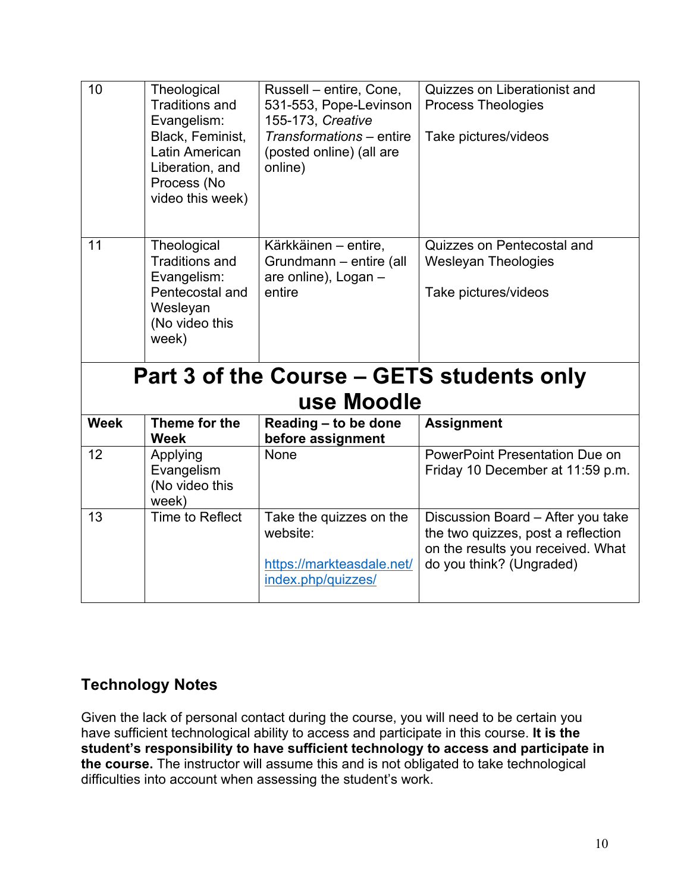| 10          | Theological<br><b>Traditions and</b><br>Evangelism:<br>Black, Feminist,<br>Latin American<br>Liberation, and<br>Process (No<br>video this week) | Russell - entire, Cone,<br>531-553, Pope-Levinson<br>155-173, Creative<br>Transformations - entire<br>(posted online) (all are<br>online) | Quizzes on Liberationist and<br><b>Process Theologies</b><br>Take pictures/videos                                                        |  |  |
|-------------|-------------------------------------------------------------------------------------------------------------------------------------------------|-------------------------------------------------------------------------------------------------------------------------------------------|------------------------------------------------------------------------------------------------------------------------------------------|--|--|
| 11          | Theological<br><b>Traditions and</b><br>Evangelism:<br>Pentecostal and<br>Wesleyan<br>(No video this<br>week)                                   | Kärkkäinen - entire,<br>Grundmann - entire (all<br>are online), Logan -<br>entire                                                         | Quizzes on Pentecostal and<br><b>Wesleyan Theologies</b><br>Take pictures/videos                                                         |  |  |
|             | Part 3 of the Course – GETS students only<br>use Moodle                                                                                         |                                                                                                                                           |                                                                                                                                          |  |  |
| <b>Week</b> | Theme for the<br><b>Week</b>                                                                                                                    | Reading - to be done<br>before assignment                                                                                                 | <b>Assignment</b>                                                                                                                        |  |  |
| 12          | Applying<br>Evangelism<br>(No video this<br>week)                                                                                               | None                                                                                                                                      | <b>PowerPoint Presentation Due on</b><br>Friday 10 December at 11:59 p.m.                                                                |  |  |
| 13          | Time to Reflect                                                                                                                                 | Take the quizzes on the<br>website:<br>https://markteasdale.net/<br>index.php/quizzes/                                                    | Discussion Board - After you take<br>the two quizzes, post a reflection<br>on the results you received. What<br>do you think? (Ungraded) |  |  |

## **Technology Notes**

Given the lack of personal contact during the course, you will need to be certain you have sufficient technological ability to access and participate in this course. **It is the student's responsibility to have sufficient technology to access and participate in the course.** The instructor will assume this and is not obligated to take technological difficulties into account when assessing the student's work.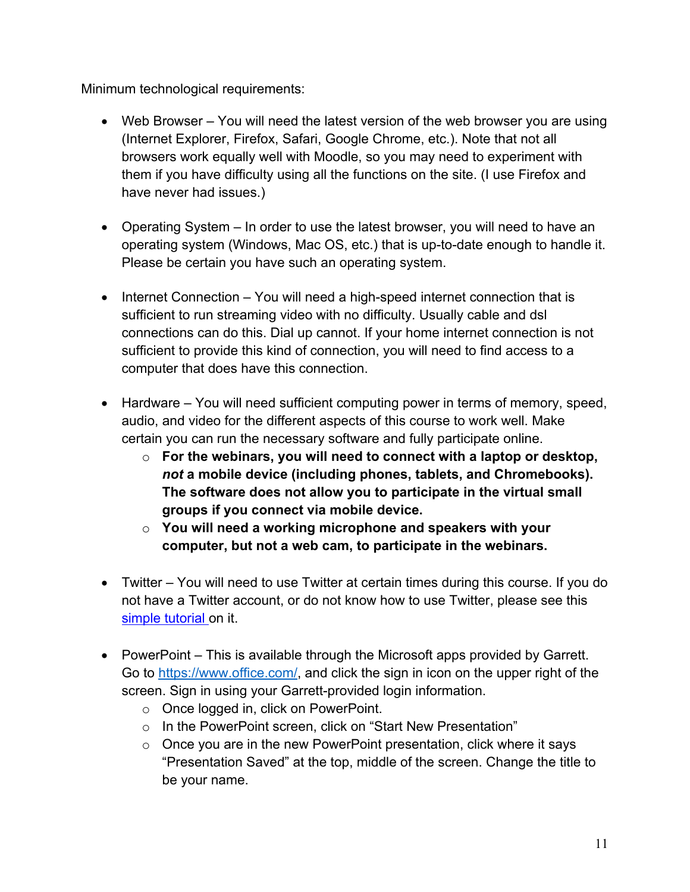Minimum technological requirements:

- Web Browser You will need the latest version of the web browser you are using (Internet Explorer, Firefox, Safari, Google Chrome, etc.). Note that not all browsers work equally well with Moodle, so you may need to experiment with them if you have difficulty using all the functions on the site. (I use Firefox and have never had issues.)
- Operating System In order to use the latest browser, you will need to have an operating system (Windows, Mac OS, etc.) that is up-to-date enough to handle it. Please be certain you have such an operating system.
- Internet Connection You will need a high-speed internet connection that is sufficient to run streaming video with no difficulty. Usually cable and dsl connections can do this. Dial up cannot. If your home internet connection is not sufficient to provide this kind of connection, you will need to find access to a computer that does have this connection.
- Hardware You will need sufficient computing power in terms of memory, speed, audio, and video for the different aspects of this course to work well. Make certain you can run the necessary software and fully participate online.
	- o **For the webinars, you will need to connect with a laptop or desktop,** *not* **a mobile device (including phones, tablets, and Chromebooks). The software does not allow you to participate in the virtual small groups if you connect via mobile device.**
	- o **You will need a working microphone and speakers with your computer, but not a web cam, to participate in the webinars.**
- Twitter You will need to use Twitter at certain times during this course. If you do not have a Twitter account, or do not know how to use Twitter, please see this simple tutorial on it.
- PowerPoint This is available through the Microsoft apps provided by Garrett. Go to https://www.office.com/, and click the sign in icon on the upper right of the screen. Sign in using your Garrett-provided login information.
	- o Once logged in, click on PowerPoint.
	- o In the PowerPoint screen, click on "Start New Presentation"
	- $\circ$  Once you are in the new PowerPoint presentation, click where it says "Presentation Saved" at the top, middle of the screen. Change the title to be your name.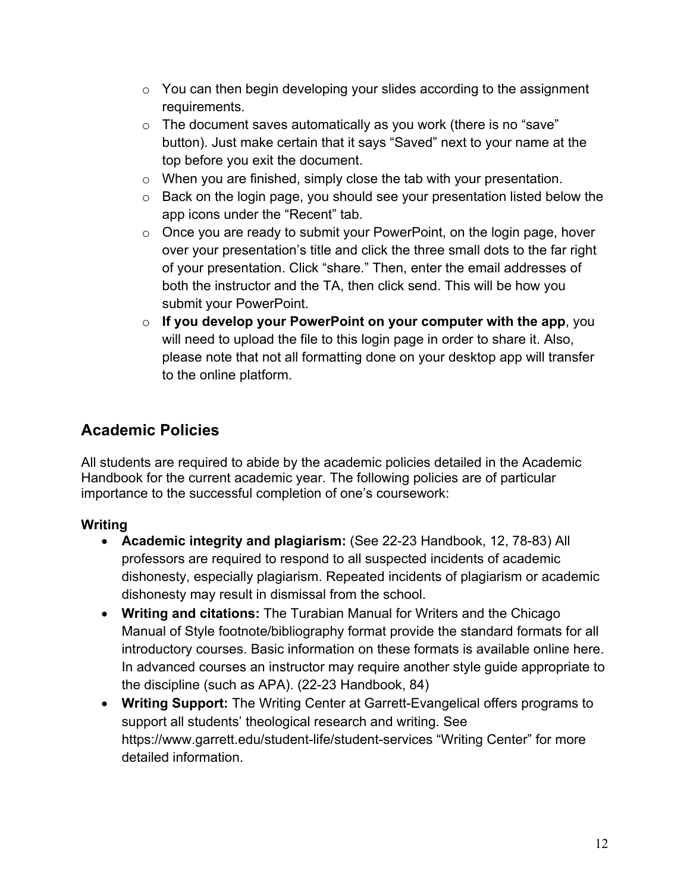- $\circ$  You can then begin developing your slides according to the assignment requirements.
- o The document saves automatically as you work (there is no "save" button). Just make certain that it says "Saved" next to your name at the top before you exit the document.
- o When you are finished, simply close the tab with your presentation.
- o Back on the login page, you should see your presentation listed below the app icons under the "Recent" tab.
- $\circ$  Once you are ready to submit your PowerPoint, on the login page, hover over your presentation's title and click the three small dots to the far right of your presentation. Click "share." Then, enter the email addresses of both the instructor and the TA, then click send. This will be how you submit your PowerPoint.
- o **If you develop your PowerPoint on your computer with the app**, you will need to upload the file to this login page in order to share it. Also, please note that not all formatting done on your desktop app will transfer to the online platform.

# **Academic Policies**

All students are required to abide by the academic policies detailed in the Academic Handbook for the current academic year. The following policies are of particular importance to the successful completion of one's coursework:

## **Writing**

- **Academic integrity and plagiarism:** (See 22-23 Handbook, 12, 78-83) All professors are required to respond to all suspected incidents of academic dishonesty, especially plagiarism. Repeated incidents of plagiarism or academic dishonesty may result in dismissal from the school.
- **Writing and citations:** The Turabian Manual for Writers and the Chicago Manual of Style footnote/bibliography format provide the standard formats for all introductory courses. Basic information on these formats is available online here. In advanced courses an instructor may require another style guide appropriate to the discipline (such as APA). (22-23 Handbook, 84)
- **Writing Support:** The Writing Center at Garrett-Evangelical offers programs to support all students' theological research and writing. See https://www.garrett.edu/student-life/student-services "Writing Center" for more detailed information.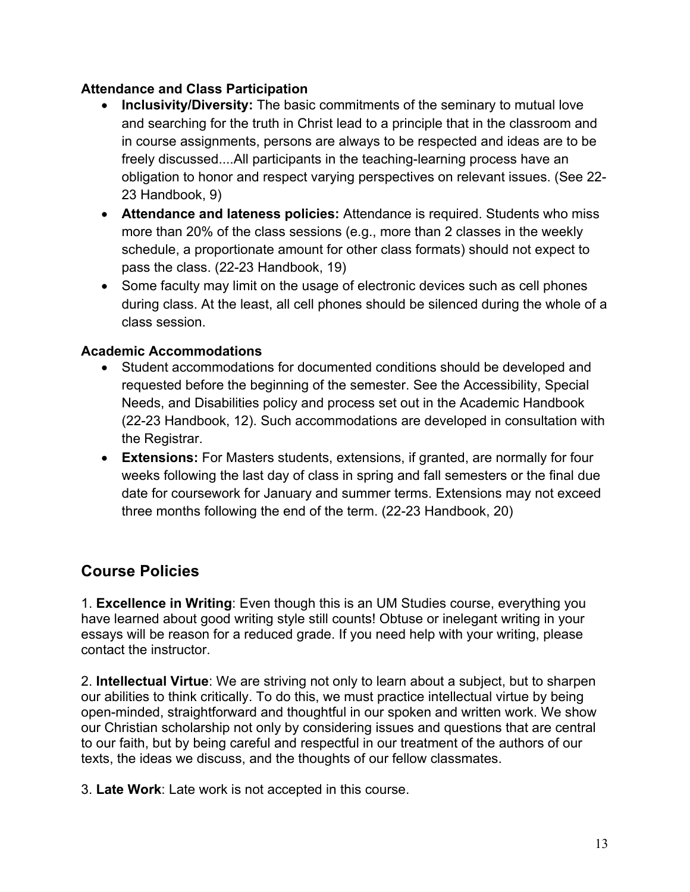### **Attendance and Class Participation**

- **Inclusivity/Diversity:** The basic commitments of the seminary to mutual love and searching for the truth in Christ lead to a principle that in the classroom and in course assignments, persons are always to be respected and ideas are to be freely discussed....All participants in the teaching-learning process have an obligation to honor and respect varying perspectives on relevant issues. (See 22- 23 Handbook, 9)
- **Attendance and lateness policies:** Attendance is required. Students who miss more than 20% of the class sessions (e.g., more than 2 classes in the weekly schedule, a proportionate amount for other class formats) should not expect to pass the class. (22-23 Handbook, 19)
- Some faculty may limit on the usage of electronic devices such as cell phones during class. At the least, all cell phones should be silenced during the whole of a class session.

### **Academic Accommodations**

- Student accommodations for documented conditions should be developed and requested before the beginning of the semester. See the Accessibility, Special Needs, and Disabilities policy and process set out in the Academic Handbook (22-23 Handbook, 12). Such accommodations are developed in consultation with the Registrar.
- **Extensions:** For Masters students, extensions, if granted, are normally for four weeks following the last day of class in spring and fall semesters or the final due date for coursework for January and summer terms. Extensions may not exceed three months following the end of the term. (22-23 Handbook, 20)

# **Course Policies**

1. **Excellence in Writing**: Even though this is an UM Studies course, everything you have learned about good writing style still counts! Obtuse or inelegant writing in your essays will be reason for a reduced grade. If you need help with your writing, please contact the instructor.

2. **Intellectual Virtue**: We are striving not only to learn about a subject, but to sharpen our abilities to think critically. To do this, we must practice intellectual virtue by being open-minded, straightforward and thoughtful in our spoken and written work. We show our Christian scholarship not only by considering issues and questions that are central to our faith, but by being careful and respectful in our treatment of the authors of our texts, the ideas we discuss, and the thoughts of our fellow classmates.

3. **Late Work**: Late work is not accepted in this course.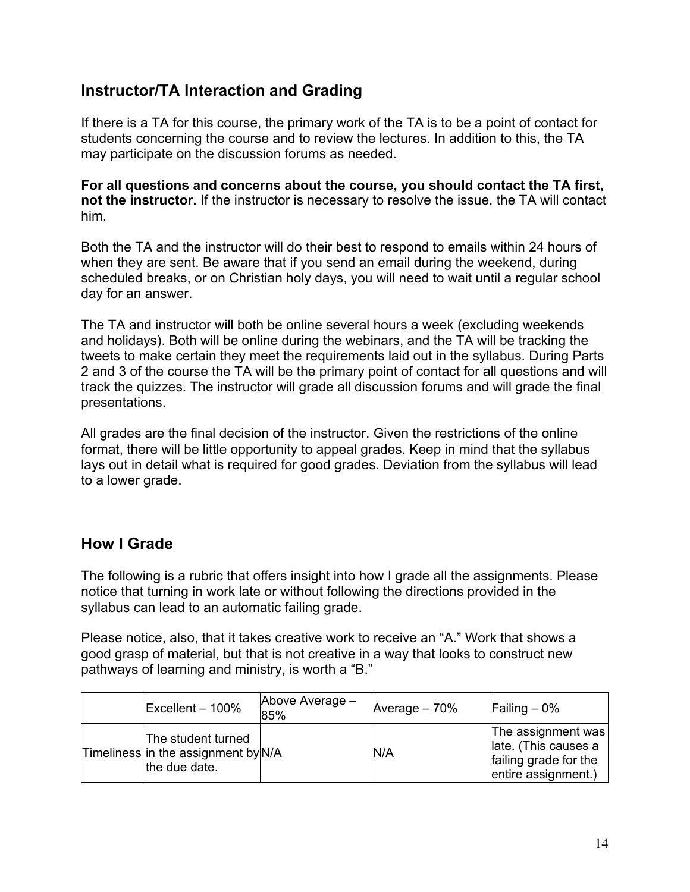## **Instructor/TA Interaction and Grading**

If there is a TA for this course, the primary work of the TA is to be a point of contact for students concerning the course and to review the lectures. In addition to this, the TA may participate on the discussion forums as needed.

**For all questions and concerns about the course, you should contact the TA first, not the instructor.** If the instructor is necessary to resolve the issue, the TA will contact him.

Both the TA and the instructor will do their best to respond to emails within 24 hours of when they are sent. Be aware that if you send an email during the weekend, during scheduled breaks, or on Christian holy days, you will need to wait until a regular school day for an answer.

The TA and instructor will both be online several hours a week (excluding weekends and holidays). Both will be online during the webinars, and the TA will be tracking the tweets to make certain they meet the requirements laid out in the syllabus. During Parts 2 and 3 of the course the TA will be the primary point of contact for all questions and will track the quizzes. The instructor will grade all discussion forums and will grade the final presentations.

All grades are the final decision of the instructor. Given the restrictions of the online format, there will be little opportunity to appeal grades. Keep in mind that the syllabus lays out in detail what is required for good grades. Deviation from the syllabus will lead to a lower grade.

## **How I Grade**

The following is a rubric that offers insight into how I grade all the assignments. Please notice that turning in work late or without following the directions provided in the syllabus can lead to an automatic failing grade.

Please notice, also, that it takes creative work to receive an "A." Work that shows a good grasp of material, but that is not creative in a way that looks to construct new pathways of learning and ministry, is worth a "B."

| $Excellent - 100\%$                                                        | Above Average -<br>85% | Average $-70%$ | Failing $-0\%$                                                                             |
|----------------------------------------------------------------------------|------------------------|----------------|--------------------------------------------------------------------------------------------|
| The student turned<br>Timeliness in the assignment by N/A<br>the due date. |                        | N/A            | The assignment was<br>late. (This causes a<br>failing grade for the<br>entire assignment.) |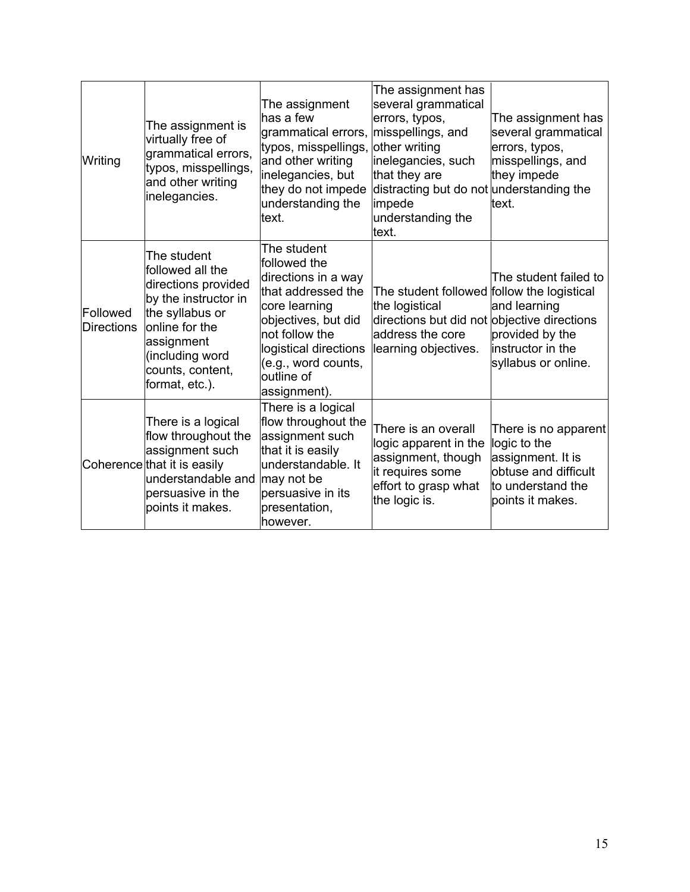| Writing                       | The assignment is<br>virtually free of<br>grammatical errors,<br>typos, misspellings,<br>and other writing<br>inelegancies.                                                                 | The assignment<br>lhas a few<br>grammatical errors, misspellings, and<br>typos, misspellings,<br>and other writing<br>inelegancies, but<br>they do not impede<br>understanding the<br>text.                      | The assignment has<br>several grammatical<br>errors, typos,<br>other writing<br>inelegancies, such<br>that they are<br>distracting but do not understanding the<br>impede<br>understanding the<br>text. | The assignment has<br>several grammatical<br>errors, typos,<br>misspellings, and<br>they impede<br>text.                   |
|-------------------------------|---------------------------------------------------------------------------------------------------------------------------------------------------------------------------------------------|------------------------------------------------------------------------------------------------------------------------------------------------------------------------------------------------------------------|---------------------------------------------------------------------------------------------------------------------------------------------------------------------------------------------------------|----------------------------------------------------------------------------------------------------------------------------|
| Followed<br><b>Directions</b> | The student<br>followed all the<br>directions provided<br>by the instructor in<br>the syllabus or<br>lonline for the<br>assignment<br>(including word<br>counts, content,<br>format, etc.). | The student<br>followed the<br>directions in a way<br>that addressed the<br>core learning<br>objectives, but did<br>not follow the<br>logistical directions<br>(e.g., word counts,<br>outline of<br>assignment). | The student followed follow the logistical<br>the logistical<br>directions but did not objective directions<br>address the core<br>learning objectives.                                                 | The student failed to<br>and learning<br>provided by the<br>instructor in the<br>syllabus or online.                       |
|                               | There is a logical<br>flow throughout the<br>assignment such<br>Coherence that it is easily<br>understandable and<br>persuasive in the<br>points it makes.                                  | There is a logical<br>flow throughout the<br>assignment such<br>that it is easily<br>understandable. It<br>may not be<br>persuasive in its<br>presentation,<br>however.                                          | There is an overall<br>logic apparent in the<br>assignment, though<br>it requires some<br>effort to grasp what<br>the logic is.                                                                         | There is no apparent<br>logic to the<br>assignment. It is<br>obtuse and difficult<br>to understand the<br>points it makes. |